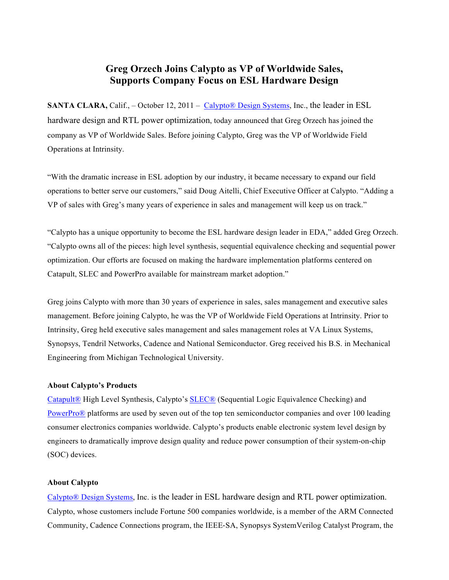## **Greg Orzech Joins Calypto as VP of Worldwide Sales, Supports Company Focus on ESL Hardware Design**

**SANTA CLARA,** Calif., – October 12, 2011 – Calypto® Design Systems, Inc., the leader in ESL hardware design and RTL power optimization, today announced that Greg Orzech has joined the company as VP of Worldwide Sales. Before joining Calypto, Greg was the VP of Worldwide Field Operations at Intrinsity.

"With the dramatic increase in ESL adoption by our industry, it became necessary to expand our field operations to better serve our customers," said Doug Aitelli, Chief Executive Officer at Calypto. "Adding a VP of sales with Greg's many years of experience in sales and management will keep us on track."

"Calypto has a unique opportunity to become the ESL hardware design leader in EDA," added Greg Orzech. "Calypto owns all of the pieces: high level synthesis, sequential equivalence checking and sequential power optimization. Our efforts are focused on making the hardware implementation platforms centered on Catapult, SLEC and PowerPro available for mainstream market adoption."

Greg joins Calypto with more than 30 years of experience in sales, sales management and executive sales management. Before joining Calypto, he was the VP of Worldwide Field Operations at Intrinsity. Prior to Intrinsity, Greg held executive sales management and sales management roles at VA Linux Systems, Synopsys, Tendril Networks, Cadence and National Semiconductor. Greg received his B.S. in Mechanical Engineering from Michigan Technological University.

## **About Calypto's Products**

Catapult® High Level Synthesis, Calypto's SLEC® (Sequential Logic Equivalence Checking) and PowerPro® platforms are used by seven out of the top ten semiconductor companies and over 100 leading consumer electronics companies worldwide. Calypto's products enable electronic system level design by engineers to dramatically improve design quality and reduce power consumption of their system-on-chip (SOC) devices.

## **About Calypto**

Calypto® Design Systems, Inc. is the leader in ESL hardware design and RTL power optimization. Calypto, whose customers include Fortune 500 companies worldwide, is a member of the ARM Connected Community, Cadence Connections program, the IEEE-SA, Synopsys SystemVerilog Catalyst Program, the